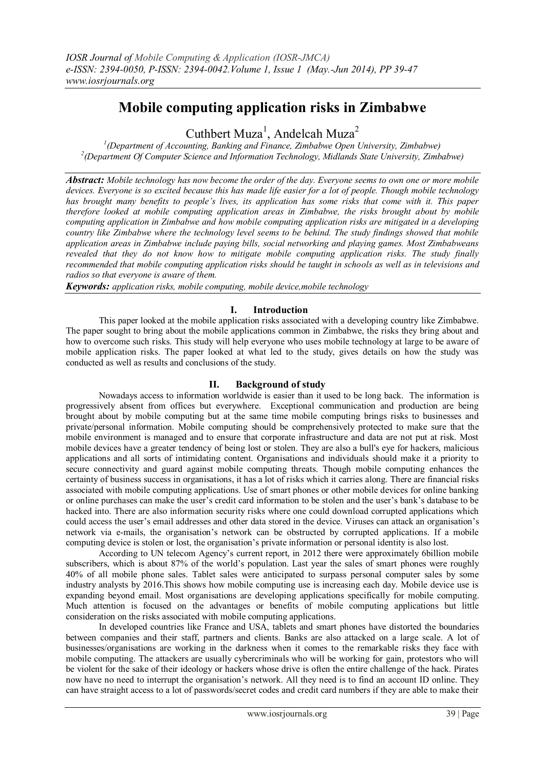# **Mobile computing application risks in Zimbabwe**

Cuthbert Muza<sup>1</sup>, Andelcah Muza<sup>2</sup>

*1 (Department of Accounting, Banking and Finance, Zimbabwe Open University, Zimbabwe) 2 (Department Of Computer Science and Information Technology, Midlands State University, Zimbabwe)* 

*Abstract: Mobile technology has now become the order of the day. Everyone seems to own one or more mobile devices. Everyone is so excited because this has made life easier for a lot of people. Though mobile technology has brought many benefits to people's lives, its application has some risks that come with it. This paper therefore looked at mobile computing application areas in Zimbabwe, the risks brought about by mobile computing application in Zimbabwe and how mobile computing application risks are mitigated in a developing country like Zimbabwe where the technology level seems to be behind. The study findings showed that mobile application areas in Zimbabwe include paying bills, social networking and playing games. Most Zimbabweans revealed that they do not know how to mitigate mobile computing application risks. The study finally recommended that mobile computing application risks should be taught in schools as well as in televisions and radios so that everyone is aware of them.*

*Keywords: application risks, mobile computing, mobile device,mobile technology*

# **I. Introduction**

This paper looked at the mobile application risks associated with a developing country like Zimbabwe. The paper sought to bring about the mobile applications common in Zimbabwe, the risks they bring about and how to overcome such risks. This study will help everyone who uses mobile technology at large to be aware of mobile application risks. The paper looked at what led to the study, gives details on how the study was conducted as well as results and conclusions of the study.

## **II. Background of study**

Nowadays access to information worldwide is easier than it used to be long back. The information is progressively absent from offices but everywhere. Exceptional communication and production are being brought about by mobile computing but at the same time mobile computing brings risks to businesses and private/personal information. Mobile computing should be comprehensively protected to make sure that the mobile environment is managed and to ensure that corporate infrastructure and data are not put at risk. Most mobile devices have a greater tendency of being lost or stolen. They are also a bull's eye for hackers, malicious applications and all sorts of intimidating content. Organisations and individuals should make it a priority to secure connectivity and guard against mobile computing threats. Though mobile computing enhances the certainty of business success in organisations, it has a lot of risks which it carries along. There are financial risks associated with mobile computing applications. Use of smart phones or other mobile devices for online banking or online purchases can make the user"s credit card information to be stolen and the user"s bank"s database to be hacked into. There are also information security risks where one could download corrupted applications which could access the user"s email addresses and other data stored in the device. Viruses can attack an organisation"s network via e-mails, the organisation"s network can be obstructed by corrupted applications. If a mobile computing device is stolen or lost, the organisation"s private information or personal identity is also lost.

According to UN telecom Agency"s current report, in 2012 there were approximately 6billion mobile subscribers, which is about 87% of the world's population. Last year the sales of smart phones were roughly 40% of all mobile phone sales. Tablet sales were anticipated to surpass personal computer sales by some industry analysts by 2016.This shows how mobile computing use is increasing each day. Mobile device use is expanding beyond email. Most organisations are developing applications specifically for mobile computing. Much attention is focused on the advantages or benefits of mobile computing applications but little consideration on the risks associated with mobile computing applications.

In developed countries like France and USA, tablets and smart phones have distorted the boundaries between companies and their staff, partners and clients. Banks are also attacked on a large scale. A lot of businesses/organisations are working in the darkness when it comes to the remarkable risks they face with mobile computing. The attackers are usually cybercriminals who will be working for gain, protestors who will be violent for the sake of their ideology or hackers whose drive is often the entire challenge of the hack. Pirates now have no need to interrupt the organisation"s network. All they need is to find an account ID online. They can have straight access to a lot of passwords/secret codes and credit card numbers if they are able to make their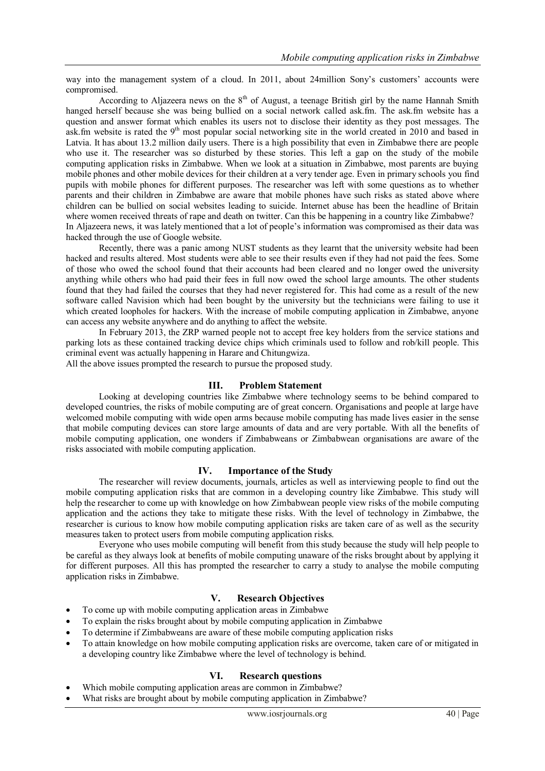way into the management system of a cloud. In 2011, about 24million Sony's customers' accounts were compromised.

According to Aljazeera news on the  $8<sup>th</sup>$  of August, a teenage British girl by the name Hannah Smith hanged herself because she was being bullied on a social network called ask.fm. The ask.fm website has a question and answer format which enables its users not to disclose their identity as they post messages. The ask.fm website is rated the 9<sup>th</sup> most popular social networking site in the world created in 2010 and based in Latvia. It has about 13.2 million daily users. There is a high possibility that even in Zimbabwe there are people who use it. The researcher was so disturbed by these stories. This left a gap on the study of the mobile computing application risks in Zimbabwe. When we look at a situation in Zimbabwe, most parents are buying mobile phones and other mobile devices for their children at a very tender age. Even in primary schools you find pupils with mobile phones for different purposes. The researcher was left with some questions as to whether parents and their children in Zimbabwe are aware that mobile phones have such risks as stated above where children can be bullied on social websites leading to suicide. Internet abuse has been the headline of Britain where women received threats of rape and death on twitter. Can this be happening in a country like Zimbabwe? In Aljazeera news, it was lately mentioned that a lot of people"s information was compromised as their data was hacked through the use of Google website.

Recently, there was a panic among NUST students as they learnt that the university website had been hacked and results altered. Most students were able to see their results even if they had not paid the fees. Some of those who owed the school found that their accounts had been cleared and no longer owed the university anything while others who had paid their fees in full now owed the school large amounts. The other students found that they had failed the courses that they had never registered for. This had come as a result of the new software called Navision which had been bought by the university but the technicians were failing to use it which created loopholes for hackers. With the increase of mobile computing application in Zimbabwe, anyone can access any website anywhere and do anything to affect the website.

In February 2013, the ZRP warned people not to accept free key holders from the service stations and parking lots as these contained tracking device chips which criminals used to follow and rob/kill people. This criminal event was actually happening in Harare and Chitungwiza.

All the above issues prompted the research to pursue the proposed study.

#### **III. Problem Statement**

Looking at developing countries like Zimbabwe where technology seems to be behind compared to developed countries, the risks of mobile computing are of great concern. Organisations and people at large have welcomed mobile computing with wide open arms because mobile computing has made lives easier in the sense that mobile computing devices can store large amounts of data and are very portable. With all the benefits of mobile computing application, one wonders if Zimbabweans or Zimbabwean organisations are aware of the risks associated with mobile computing application.

## **IV. Importance of the Study**

The researcher will review documents, journals, articles as well as interviewing people to find out the mobile computing application risks that are common in a developing country like Zimbabwe. This study will help the researcher to come up with knowledge on how Zimbabwean people view risks of the mobile computing application and the actions they take to mitigate these risks. With the level of technology in Zimbabwe, the researcher is curious to know how mobile computing application risks are taken care of as well as the security measures taken to protect users from mobile computing application risks.

Everyone who uses mobile computing will benefit from this study because the study will help people to be careful as they always look at benefits of mobile computing unaware of the risks brought about by applying it for different purposes. All this has prompted the researcher to carry a study to analyse the mobile computing application risks in Zimbabwe.

# **V. Research Objectives**

- To come up with mobile computing application areas in Zimbabwe
- To explain the risks brought about by mobile computing application in Zimbabwe
- To determine if Zimbabweans are aware of these mobile computing application risks
- To attain knowledge on how mobile computing application risks are overcome, taken care of or mitigated in a developing country like Zimbabwe where the level of technology is behind.

# **VI. Research questions**

- Which mobile computing application areas are common in Zimbabwe?
- What risks are brought about by mobile computing application in Zimbabwe?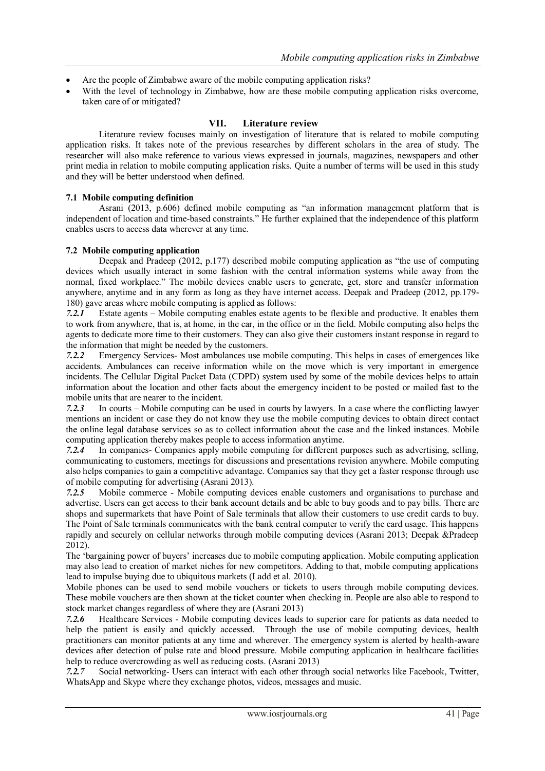- Are the people of Zimbabwe aware of the mobile computing application risks?
- With the level of technology in Zimbabwe, how are these mobile computing application risks overcome, taken care of or mitigated?

## **VII. Literature review**

Literature review focuses mainly on investigation of literature that is related to mobile computing application risks. It takes note of the previous researches by different scholars in the area of study. The researcher will also make reference to various views expressed in journals, magazines, newspapers and other print media in relation to mobile computing application risks. Quite a number of terms will be used in this study and they will be better understood when defined.

#### **7.1 Mobile computing definition**

Asrani (2013, p.606) defined mobile computing as "an information management platform that is independent of location and time-based constraints." He further explained that the independence of this platform enables users to access data wherever at any time.

#### **7.2 Mobile computing application**

Deepak and Pradeep (2012, p.177) described mobile computing application as "the use of computing devices which usually interact in some fashion with the central information systems while away from the normal, fixed workplace." The mobile devices enable users to generate, get, store and transfer information anywhere, anytime and in any form as long as they have internet access. Deepak and Pradeep (2012, pp.179- 180) gave areas where mobile computing is applied as follows:

*7.2.1* Estate agents – Mobile computing enables estate agents to be flexible and productive. It enables them to work from anywhere, that is, at home, in the car, in the office or in the field. Mobile computing also helps the agents to dedicate more time to their customers. They can also give their customers instant response in regard to the information that might be needed by the customers.

*7.2.2* Emergency Services- Most ambulances use mobile computing. This helps in cases of emergences like accidents. Ambulances can receive information while on the move which is very important in emergence incidents. The Cellular Digital Packet Data (CDPD) system used by some of the mobile devices helps to attain information about the location and other facts about the emergency incident to be posted or mailed fast to the mobile units that are nearer to the incident.

*7.2.3* In courts – Mobile computing can be used in courts by lawyers. In a case where the conflicting lawyer mentions an incident or case they do not know they use the mobile computing devices to obtain direct contact the online legal database services so as to collect information about the case and the linked instances. Mobile computing application thereby makes people to access information anytime.

*7.2.4* In companies- Companies apply mobile computing for different purposes such as advertising, selling, communicating to customers, meetings for discussions and presentations revision anywhere. Mobile computing also helps companies to gain a competitive advantage. Companies say that they get a faster response through use of mobile computing for advertising (Asrani 2013).

*7.2.5* Mobile commerce - Mobile computing devices enable customers and organisations to purchase and advertise. Users can get access to their bank account details and be able to buy goods and to pay bills. There are shops and supermarkets that have Point of Sale terminals that allow their customers to use credit cards to buy. The Point of Sale terminals communicates with the bank central computer to verify the card usage. This happens rapidly and securely on cellular networks through mobile computing devices (Asrani 2013; Deepak &Pradeep 2012).

The "bargaining power of buyers" increases due to mobile computing application. Mobile computing application may also lead to creation of market niches for new competitors. Adding to that, mobile computing applications lead to impulse buying due to ubiquitous markets (Ladd et al. 2010).

Mobile phones can be used to send mobile vouchers or tickets to users through mobile computing devices. These mobile vouchers are then shown at the ticket counter when checking in. People are also able to respond to stock market changes regardless of where they are (Asrani 2013)

*7.2.6* Healthcare Services - Mobile computing devices leads to superior care for patients as data needed to help the patient is easily and quickly accessed. Through the use of mobile computing devices, health practitioners can monitor patients at any time and wherever. The emergency system is alerted by health-aware devices after detection of pulse rate and blood pressure. Mobile computing application in healthcare facilities help to reduce overcrowding as well as reducing costs. (Asrani 2013)

*7.2.7* Social networking- Users can interact with each other through social networks like Facebook, Twitter, WhatsApp and Skype where they exchange photos, videos, messages and music.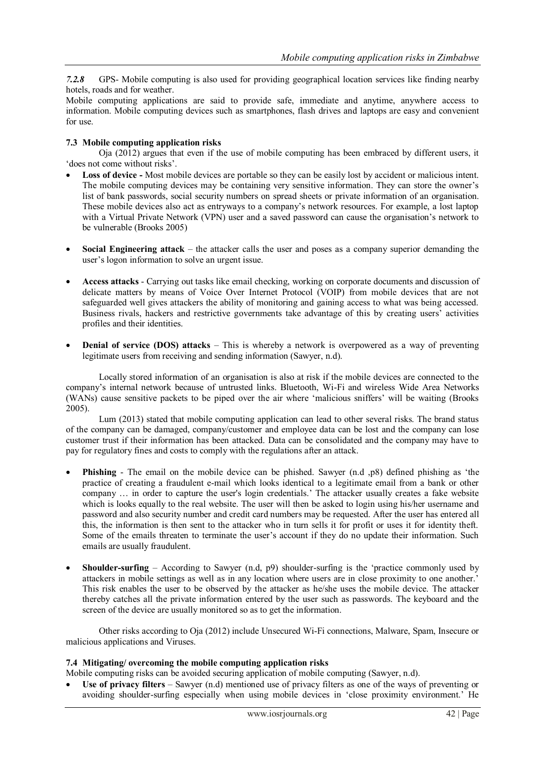*7.2.8* GPS- Mobile computing is also used for providing geographical location services like finding nearby hotels, roads and for weather.

Mobile computing applications are said to provide safe, immediate and anytime, anywhere access to information. Mobile computing devices such as smartphones, flash drives and laptops are easy and convenient for use.

#### **7.3 Mobile computing application risks**

Oja (2012) argues that even if the use of mobile computing has been embraced by different users, it 'does not come without risks'.

- **Loss of device -** Most mobile devices are portable so they can be easily lost by accident or malicious intent. The mobile computing devices may be containing very sensitive information. They can store the owner"s list of bank passwords, social security numbers on spread sheets or private information of an organisation. These mobile devices also act as entryways to a company"s network resources. For example, a lost laptop with a Virtual Private Network (VPN) user and a saved password can cause the organisation"s network to be vulnerable (Brooks 2005)
- **Social Engineering attack** the attacker calls the user and poses as a company superior demanding the user"s logon information to solve an urgent issue.
- **Access attacks** Carrying out tasks like email checking, working on corporate documents and discussion of delicate matters by means of Voice Over Internet Protocol (VOIP) from mobile devices that are not safeguarded well gives attackers the ability of monitoring and gaining access to what was being accessed. Business rivals, hackers and restrictive governments take advantage of this by creating users" activities profiles and their identities.
- **Denial of service (DOS) attacks** This is whereby a network is overpowered as a way of preventing legitimate users from receiving and sending information (Sawyer, n.d).

Locally stored information of an organisation is also at risk if the mobile devices are connected to the company"s internal network because of untrusted links. Bluetooth, Wi-Fi and wireless Wide Area Networks (WANs) cause sensitive packets to be piped over the air where "malicious sniffers" will be waiting (Brooks 2005).

Lum (2013) stated that mobile computing application can lead to other several risks. The brand status of the company can be damaged, company/customer and employee data can be lost and the company can lose customer trust if their information has been attacked. Data can be consolidated and the company may have to pay for regulatory fines and costs to comply with the regulations after an attack.

- **Phishing** The email on the mobile device can be phished. Sawyer (n.d ,p8) defined phishing as "the practice of creating a fraudulent e-mail which looks identical to a legitimate email from a bank or other company … in order to capture the user's login credentials." The attacker usually creates a fake website which is looks equally to the real website. The user will then be asked to login using his/her username and password and also security number and credit card numbers may be requested. After the user has entered all this, the information is then sent to the attacker who in turn sells it for profit or uses it for identity theft. Some of the emails threaten to terminate the user's account if they do no update their information. Such emails are usually fraudulent.
- **Shoulder-surfing** According to Sawyer (n.d, p9) shoulder-surfing is the "practice commonly used by attackers in mobile settings as well as in any location where users are in close proximity to one another." This risk enables the user to be observed by the attacker as he/she uses the mobile device. The attacker thereby catches all the private information entered by the user such as passwords. The keyboard and the screen of the device are usually monitored so as to get the information.

Other risks according to Oja (2012) include Unsecured Wi-Fi connections, Malware, Spam, Insecure or malicious applications and Viruses.

#### **7.4 Mitigating/ overcoming the mobile computing application risks**

Mobile computing risks can be avoided securing application of mobile computing (Sawyer, n.d).

 **Use of privacy filters** – Sawyer (n.d) mentioned use of privacy filters as one of the ways of preventing or avoiding shoulder-surfing especially when using mobile devices in "close proximity environment." He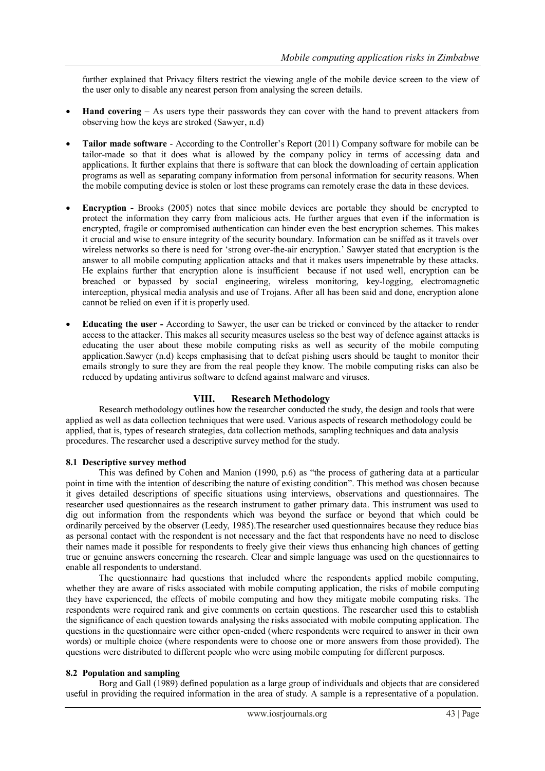further explained that Privacy filters restrict the viewing angle of the mobile device screen to the view of the user only to disable any nearest person from analysing the screen details.

- **Hand covering** As users type their passwords they can cover with the hand to prevent attackers from observing how the keys are stroked (Sawyer, n.d)
- **Tailor made software** According to the Controller"s Report (2011) Company software for mobile can be tailor-made so that it does what is allowed by the company policy in terms of accessing data and applications. It further explains that there is software that can block the downloading of certain application programs as well as separating company information from personal information for security reasons. When the mobile computing device is stolen or lost these programs can remotely erase the data in these devices.
- **Encryption -** Brooks (2005) notes that since mobile devices are portable they should be encrypted to protect the information they carry from malicious acts. He further argues that even if the information is encrypted, fragile or compromised authentication can hinder even the best encryption schemes. This makes it crucial and wise to ensure integrity of the security boundary. Information can be sniffed as it travels over wireless networks so there is need for 'strong over-the-air encryption.' Sawyer stated that encryption is the answer to all mobile computing application attacks and that it makes users impenetrable by these attacks. He explains further that encryption alone is insufficient because if not used well, encryption can be breached or bypassed by social engineering, wireless monitoring, key-logging, electromagnetic interception, physical media analysis and use of Trojans. After all has been said and done, encryption alone cannot be relied on even if it is properly used.
- **Educating the user -** According to Sawyer, the user can be tricked or convinced by the attacker to render access to the attacker. This makes all security measures useless so the best way of defence against attacks is educating the user about these mobile computing risks as well as security of the mobile computing application.Sawyer (n.d) keeps emphasising that to defeat pishing users should be taught to monitor their emails strongly to sure they are from the real people they know. The mobile computing risks can also be reduced by updating antivirus software to defend against malware and viruses.

## **VIII. Research Methodology**

Research methodology outlines how the researcher conducted the study, the design and tools that were applied as well as data collection techniques that were used. Various aspects of research methodology could be applied, that is, types of research strategies, data collection methods, sampling techniques and data analysis procedures. The researcher used a descriptive survey method for the study.

#### **8.1 Descriptive survey method**

This was defined by Cohen and Manion (1990, p.6) as "the process of gathering data at a particular point in time with the intention of describing the nature of existing condition". This method was chosen because it gives detailed descriptions of specific situations using interviews, observations and questionnaires. The researcher used questionnaires as the research instrument to gather primary data. This instrument was used to dig out information from the respondents which was beyond the surface or beyond that which could be ordinarily perceived by the observer (Leedy, 1985).The researcher used questionnaires because they reduce bias as personal contact with the respondent is not necessary and the fact that respondents have no need to disclose their names made it possible for respondents to freely give their views thus enhancing high chances of getting true or genuine answers concerning the research. Clear and simple language was used on the questionnaires to enable all respondents to understand.

The questionnaire had questions that included where the respondents applied mobile computing, whether they are aware of risks associated with mobile computing application, the risks of mobile computing they have experienced, the effects of mobile computing and how they mitigate mobile computing risks. The respondents were required rank and give comments on certain questions. The researcher used this to establish the significance of each question towards analysing the risks associated with mobile computing application. The questions in the questionnaire were either open-ended (where respondents were required to answer in their own words) or multiple choice (where respondents were to choose one or more answers from those provided). The questions were distributed to different people who were using mobile computing for different purposes.

#### **8.2 Population and sampling**

Borg and Gall (1989) defined population as a large group of individuals and objects that are considered useful in providing the required information in the area of study. A sample is a representative of a population.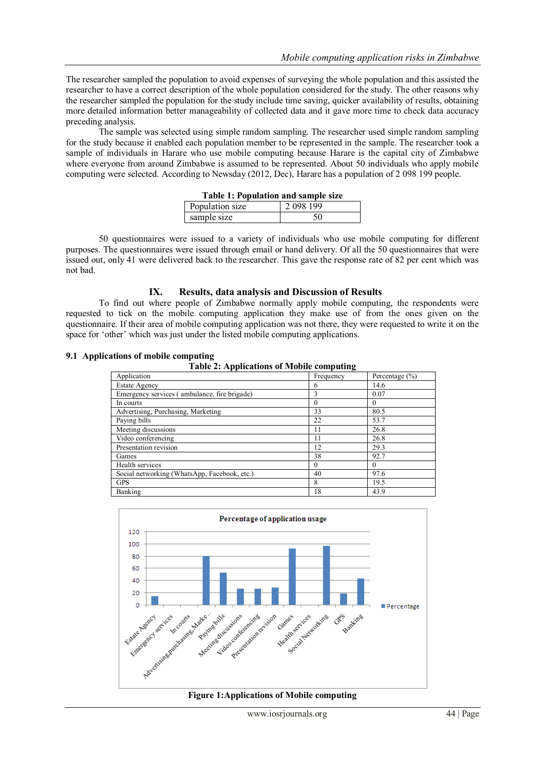The researcher sampled the population to avoid expenses of surveying the whole population and this assisted the researcher to have a correct description of the whole population considered for the study. The other reasons why the researcher sampled the population for the study include time saving, quicker availability of results, obtaining more detailed information better manageability of collected data and it gave more time to check data accuracy preceding analysis.

The sample was selected using simple random sampling. The researcher used simple random sampling for the study because it enabled each population member to be represented in the sample. The researcher took a sample of individuals in Harare who use mobile computing because Harare is the capital city of Zimbabwe where everyone from around Zimbabwe is assumed to be represented. About 50 individuals who apply mobile computing were selected. According to Newsday (2012, Dec), Harare has a population of 2 098 199 people.

| Table 1: Population and sample size |                       |  |
|-------------------------------------|-----------------------|--|
| Population size                     | $\frac{1}{2}$ 098 199 |  |
| sample size                         | 50                    |  |

50 questionnaires were issued to a variety of individuals who use mobile computing for different purposes. The questionnaires were issued through email or hand delivery. Of all the 50 questionnaires that were issued out, only 41 were delivered back to the researcher. This gave the response rate of 82 per cent which was not bad.

## **IX. Results, data analysis and Discussion of Results**

To find out where people of Zimbabwe normally apply mobile computing, the respondents were requested to tick on the mobile computing application they make use of from the ones given on the questionnaire. If their area of mobile computing application was not there, they were requested to write it on the space for 'other' which was just under the listed mobile computing applications.

# **9.1 Applications of mobile computing**

| <b>Table 2: Applications of Mobile computing</b> |           |                    |
|--------------------------------------------------|-----------|--------------------|
| Application                                      | Frequency | Percentage $(\% )$ |
| <b>Estate Agency</b>                             | 6         | 14.6               |
| Emergency services (ambulance, fire brigade)     | 3         | 0.07               |
| In courts                                        |           | $\Omega$           |
| Advertising, Purchasing, Marketing               | 33        | 80.5               |
| Paying bills                                     | 22        | 53.7               |
| Meeting discussions                              | 11        | 26.8               |
| Video conferencing                               | 11        | 26.8               |
| Presentation revision                            | 12        | 29.3               |
| Games                                            | 38        | 92.7               |
| Health services                                  | $^{(1)}$  | $\theta$           |
| Social networking (WhatsApp, Facebook, etc.)     | 40        | 97.6               |
| <b>GPS</b>                                       | 8         | 19.5               |
| Banking                                          | 18        | 43.9               |



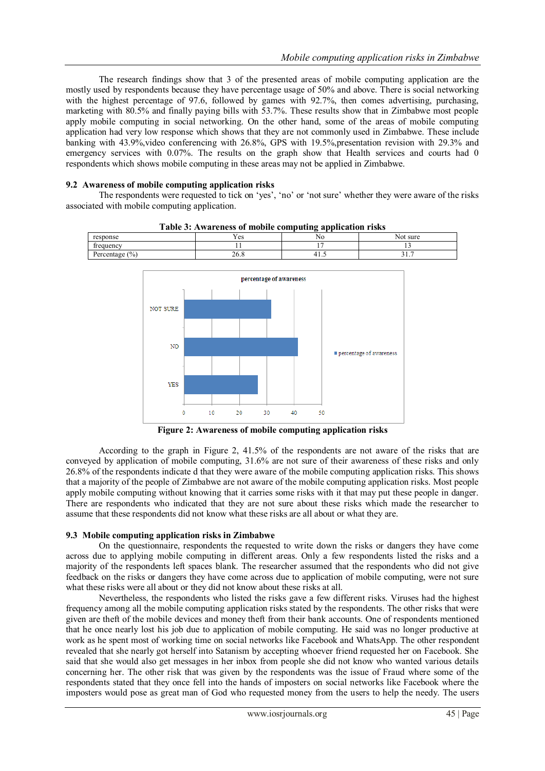The research findings show that 3 of the presented areas of mobile computing application are the mostly used by respondents because they have percentage usage of 50% and above. There is social networking with the highest percentage of 97.6, followed by games with 92.7%, then comes advertising, purchasing, marketing with 80.5% and finally paying bills with 53.7%. These results show that in Zimbabwe most people apply mobile computing in social networking. On the other hand, some of the areas of mobile computing application had very low response which shows that they are not commonly used in Zimbabwe. These include banking with 43.9%, video conferencing with 26.8%, GPS with 19.5%, presentation revision with 29.3% and emergency services with 0.07%. The results on the graph show that Health services and courts had 0 respondents which shows mobile computing in these areas may not be applied in Zimbabwe.

## **9.2 Awareness of mobile computing application risks**

The respondents were requested to tick on "yes", "no" or "not sure" whether they were aware of the risks associated with mobile computing application.



**Table 3: Awareness of mobile computing application risks**

**Figure 2: Awareness of mobile computing application risks**

According to the graph in Figure 2, 41.5% of the respondents are not aware of the risks that are conveyed by application of mobile computing, 31.6% are not sure of their awareness of these risks and only 26.8% of the respondents indicate d that they were aware of the mobile computing application risks. This shows that a majority of the people of Zimbabwe are not aware of the mobile computing application risks. Most people apply mobile computing without knowing that it carries some risks with it that may put these people in danger. There are respondents who indicated that they are not sure about these risks which made the researcher to assume that these respondents did not know what these risks are all about or what they are.

## **9.3 Mobile computing application risks in Zimbabwe**

On the questionnaire, respondents the requested to write down the risks or dangers they have come across due to applying mobile computing in different areas. Only a few respondents listed the risks and a majority of the respondents left spaces blank. The researcher assumed that the respondents who did not give feedback on the risks or dangers they have come across due to application of mobile computing, were not sure what these risks were all about or they did not know about these risks at all.

Nevertheless, the respondents who listed the risks gave a few different risks. Viruses had the highest frequency among all the mobile computing application risks stated by the respondents. The other risks that were given are theft of the mobile devices and money theft from their bank accounts. One of respondents mentioned that he once nearly lost his job due to application of mobile computing. He said was no longer productive at work as he spent most of working time on social networks like Facebook and WhatsApp. The other respondent revealed that she nearly got herself into Satanism by accepting whoever friend requested her on Facebook. She said that she would also get messages in her inbox from people she did not know who wanted various details concerning her. The other risk that was given by the respondents was the issue of Fraud where some of the respondents stated that they once fell into the hands of imposters on social networks like Facebook where the imposters would pose as great man of God who requested money from the users to help the needy. The users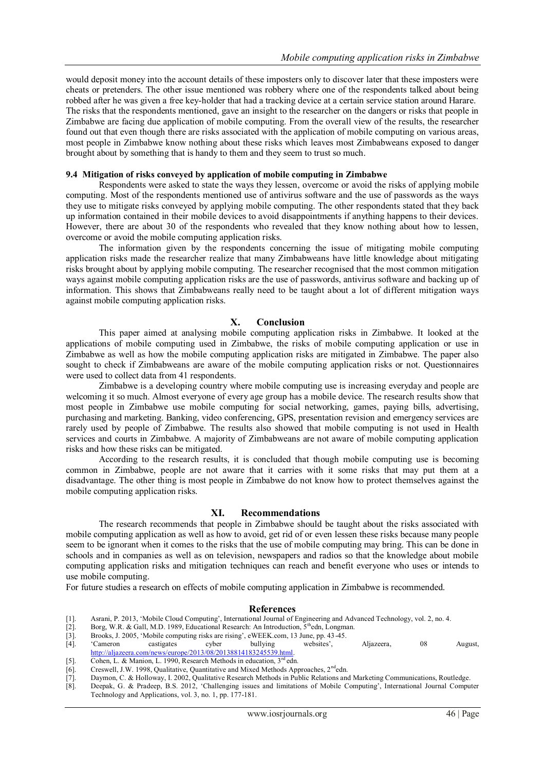would deposit money into the account details of these imposters only to discover later that these imposters were cheats or pretenders. The other issue mentioned was robbery where one of the respondents talked about being robbed after he was given a free key-holder that had a tracking device at a certain service station around Harare. The risks that the respondents mentioned, gave an insight to the researcher on the dangers or risks that people in Zimbabwe are facing due application of mobile computing. From the overall view of the results, the researcher found out that even though there are risks associated with the application of mobile computing on various areas, most people in Zimbabwe know nothing about these risks which leaves most Zimbabweans exposed to danger brought about by something that is handy to them and they seem to trust so much.

#### **9.4 Mitigation of risks conveyed by application of mobile computing in Zimbabwe**

Respondents were asked to state the ways they lessen, overcome or avoid the risks of applying mobile computing. Most of the respondents mentioned use of antivirus software and the use of passwords as the ways they use to mitigate risks conveyed by applying mobile computing. The other respondents stated that they back up information contained in their mobile devices to avoid disappointments if anything happens to their devices. However, there are about 30 of the respondents who revealed that they know nothing about how to lessen, overcome or avoid the mobile computing application risks.

The information given by the respondents concerning the issue of mitigating mobile computing application risks made the researcher realize that many Zimbabweans have little knowledge about mitigating risks brought about by applying mobile computing. The researcher recognised that the most common mitigation ways against mobile computing application risks are the use of passwords, antivirus software and backing up of information. This shows that Zimbabweans really need to be taught about a lot of different mitigation ways against mobile computing application risks.

#### **X. Conclusion**

This paper aimed at analysing mobile computing application risks in Zimbabwe. It looked at the applications of mobile computing used in Zimbabwe, the risks of mobile computing application or use in Zimbabwe as well as how the mobile computing application risks are mitigated in Zimbabwe. The paper also sought to check if Zimbabweans are aware of the mobile computing application risks or not. Questionnaires were used to collect data from 41 respondents.

Zimbabwe is a developing country where mobile computing use is increasing everyday and people are welcoming it so much. Almost everyone of every age group has a mobile device. The research results show that most people in Zimbabwe use mobile computing for social networking, games, paying bills, advertising, purchasing and marketing. Banking, video conferencing, GPS, presentation revision and emergency services are rarely used by people of Zimbabwe. The results also showed that mobile computing is not used in Health services and courts in Zimbabwe. A majority of Zimbabweans are not aware of mobile computing application risks and how these risks can be mitigated.

According to the research results, it is concluded that though mobile computing use is becoming common in Zimbabwe, people are not aware that it carries with it some risks that may put them at a disadvantage. The other thing is most people in Zimbabwe do not know how to protect themselves against the mobile computing application risks.

#### **XI. Recommendations**

The research recommends that people in Zimbabwe should be taught about the risks associated with mobile computing application as well as how to avoid, get rid of or even lessen these risks because many people seem to be ignorant when it comes to the risks that the use of mobile computing may bring. This can be done in schools and in companies as well as on television, newspapers and radios so that the knowledge about mobile computing application risks and mitigation techniques can reach and benefit everyone who uses or intends to use mobile computing.

For future studies a research on effects of mobile computing application in Zimbabwe is recommended.

#### **References**

- [1]. Asrani, P. 2013, 'Mobile Cloud Computing', International Journal of Engineering and Advanced Technology, vol. 2, no. 4.<br>
[2]. Borg, W.R. & Gall, M.D. 1989, Educational Research: An Introduction, 5<sup>th</sup>edn, Longman.<br>
[
- Borg, W.R. & Gall, M.D. 1989, Educational Research: An Introduction,  $5<sup>th</sup>$ edn, Longman.
- Brooks, J. 2005, 'Mobile computing risks are rising', eWEEK.com, 13 June, pp. 43-45.
- [4]. "Cameron castigates cyber bullying websites", Aljazeera, 08 August, [http://aljazeera.com/news/europe/2013/08/20138814183245539.html.](http://aljazeera.com/news/europe/2013/08/20138814183245539.html)
- [5]. Cohen, L. & Manion, L. 1990, Research Methods in education, 3<sup>rd</sup> edn.
- [6]. Creswell, J.W. 1998, Qualitative, Quantitative and Mixed Methods Approaches, 2<sup>nd</sup>edn.
- [7]. Daymon, C. & Holloway, I. 2002, Qualitative Research Methods in Public Relations and Marketing Communications, Routledge.
- Deepak, G. & Pradeep, B.S. 2012, 'Challenging issues and limitations of Mobile Computing', International Journal Computer Technology and Applications, vol. 3, no. 1, pp. 177-181.